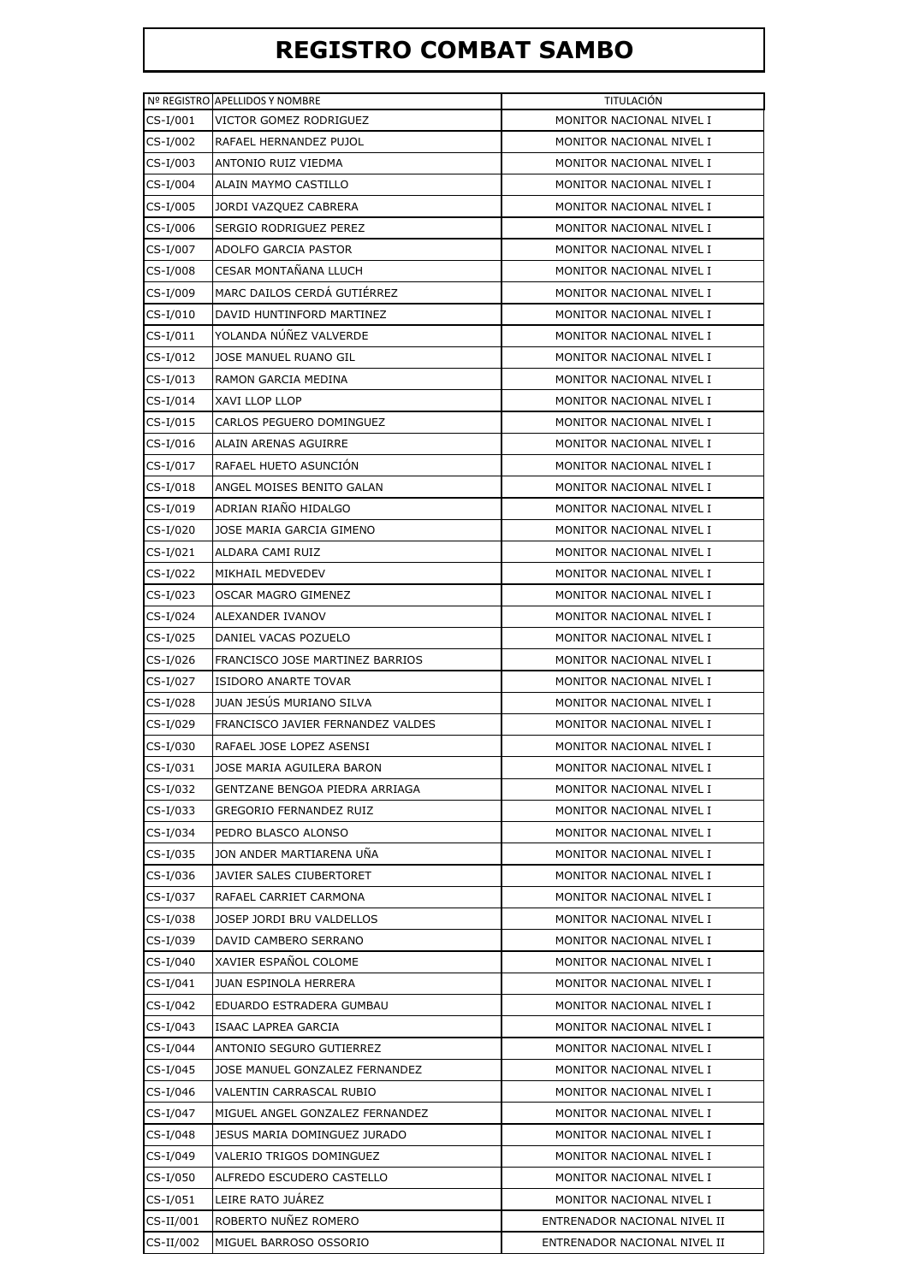## **REGISTRO COMBAT SAMBO**

|             | Nº REGISTRO APELLIDOS Y NOMBRE           | TITULACIÓN                   |
|-------------|------------------------------------------|------------------------------|
| CS-I/001    | VICTOR GOMEZ RODRIGUEZ                   | MONITOR NACIONAL NIVEL I     |
| CS-I/002    | RAFAEL HERNANDEZ PUJOL                   | MONITOR NACIONAL NIVEL I     |
| CS-I/003    | ANTONIO RUIZ VIEDMA                      | MONITOR NACIONAL NIVEL I     |
| $CS-I/004$  | ALAIN MAYMO CASTILLO                     | MONITOR NACIONAL NIVEL I     |
| CS-I/005    | JORDI VAZQUEZ CABRERA                    | MONITOR NACIONAL NIVEL I     |
| CS-I/006    | SERGIO RODRIGUEZ PEREZ                   | MONITOR NACIONAL NIVEL I     |
| CS-I/007    | ADOLFO GARCIA PASTOR                     | MONITOR NACIONAL NIVEL I     |
| CS-I/008    | CESAR MONTAÑANA LLUCH                    | MONITOR NACIONAL NIVEL I     |
| CS-I/009    | MARC DAILOS CERDÁ GUTIÉRREZ              | MONITOR NACIONAL NIVEL I     |
| CS-I/010    | DAVID HUNTINFORD MARTINEZ                | MONITOR NACIONAL NIVEL I     |
| $CS-I/011$  | YOLANDA NÚÑEZ VALVERDE                   | MONITOR NACIONAL NIVEL I     |
| CS-I/012    | JOSE MANUEL RUANO GIL                    | MONITOR NACIONAL NIVEL I     |
| CS-I/013    | RAMON GARCIA MEDINA                      | MONITOR NACIONAL NIVEL I     |
| CS-I/014    | XAVI LLOP LLOP                           | MONITOR NACIONAL NIVEL I     |
| $CS-I/015$  | CARLOS PEGUERO DOMINGUEZ                 | MONITOR NACIONAL NIVEL I     |
| CS-I/016    | ALAIN ARENAS AGUIRRE                     | MONITOR NACIONAL NIVEL I     |
| CS-I/017    | RAFAEL HUETO ASUNCIÓN                    | MONITOR NACIONAL NIVEL I     |
| $CS-I/018$  | ANGEL MOISES BENITO GALAN                | MONITOR NACIONAL NIVEL I     |
| CS-I/019    | ADRIAN RIAÑO HIDALGO                     | MONITOR NACIONAL NIVEL I     |
| CS-I/020    | JOSE MARIA GARCIA GIMENO                 | MONITOR NACIONAL NIVEL I     |
| CS-I/021    | ALDARA CAMI RUIZ                         | MONITOR NACIONAL NIVEL I     |
| CS-I/022    | MIKHAIL MEDVEDEV                         | MONITOR NACIONAL NIVEL I     |
| CS-I/023    | OSCAR MAGRO GIMENEZ                      | MONITOR NACIONAL NIVEL I     |
| CS-I/024    | ALEXANDER IVANOV                         | MONITOR NACIONAL NIVEL I     |
| CS-I/025    | DANIEL VACAS POZUELO                     | MONITOR NACIONAL NIVEL I     |
| CS-I/026    | <b>FRANCISCO JOSE MARTINEZ BARRIOS</b>   | MONITOR NACIONAL NIVEL I     |
| CS-I/027    | <b>ISIDORO ANARTE TOVAR</b>              | MONITOR NACIONAL NIVEL I     |
| CS-I/028    | JUAN JESUS MURIANO SILVA                 | MONITOR NACIONAL NIVEL I     |
| CS-I/029    | <b>FRANCISCO JAVIER FERNANDEZ VALDES</b> | MONITOR NACIONAL NIVEL I     |
| CS-I/030    | RAFAEL JOSE LOPEZ ASENSI                 | MONITOR NACIONAL NIVEL I     |
| $CS-I/031$  | JOSE MARIA AGUILERA BARON                | MONITOR NACIONAL NIVEL I     |
| CS-I/032    | GENTZANE BENGOA PIEDRA ARRIAGA           | MONITOR NACIONAL NIVEL I     |
| CS-I/033    | GREGORIO FERNANDEZ RUIZ                  | MONITOR NACIONAL NIVEL I     |
| CS-I/034    | PEDRO BLASCO ALONSO                      | MONITOR NACIONAL NIVEL I     |
| CS-I/035    | JON ANDER MARTIARENA UNA                 | MONITOR NACIONAL NIVEL I     |
| CS-I/036    | JAVIER SALES CIUBERTORET                 | MONITOR NACIONAL NIVEL I     |
| CS-I/037    | RAFAEL CARRIET CARMONA                   | MONITOR NACIONAL NIVEL I     |
| CS-I/038    | JOSEP JORDI BRU VALDELLOS                | MONITOR NACIONAL NIVEL I     |
| CS-I/039    | DAVID CAMBERO SERRANO                    | MONITOR NACIONAL NIVEL I     |
| CS-I/040    | XAVIER ESPAÑOL COLOME                    | MONITOR NACIONAL NIVEL I     |
| CS-I/041    | <b>JUAN ESPINOLA HERRERA</b>             | MONITOR NACIONAL NIVEL I     |
| CS-I/042    | EDUARDO ESTRADERA GUMBAU                 | MONITOR NACIONAL NIVEL I     |
| CS-I/043    | ISAAC LAPREA GARCIA                      | MONITOR NACIONAL NIVEL I     |
| CS-I/044    | ANTONIO SEGURO GUTIERREZ                 | MONITOR NACIONAL NIVEL I     |
| CS-I/045    | JOSE MANUEL GONZALEZ FERNANDEZ           | MONITOR NACIONAL NIVEL I     |
| CS-I/046    | VALENTIN CARRASCAL RUBIO                 | MONITOR NACIONAL NIVEL I     |
| CS-I/047    | MIGUEL ANGEL GONZALEZ FERNANDEZ          | MONITOR NACIONAL NIVEL I     |
| CS-I/048    | JESUS MARIA DOMINGUEZ JURADO             | MONITOR NACIONAL NIVEL I     |
| CS-I/049    | VALERIO TRIGOS DOMINGUEZ                 | MONITOR NACIONAL NIVEL I     |
| CS-I/050    | ALFREDO ESCUDERO CASTELLO                | MONITOR NACIONAL NIVEL I     |
| CS-I/051    | LEIRE RATO JUÁREZ                        | MONITOR NACIONAL NIVEL I     |
| $CS-II/001$ | ROBERTO NUÑEZ ROMERO                     | ENTRENADOR NACIONAL NIVEL II |
| $CS-II/002$ | MIGUEL BARROSO OSSORIO                   | ENTRENADOR NACIONAL NIVEL II |